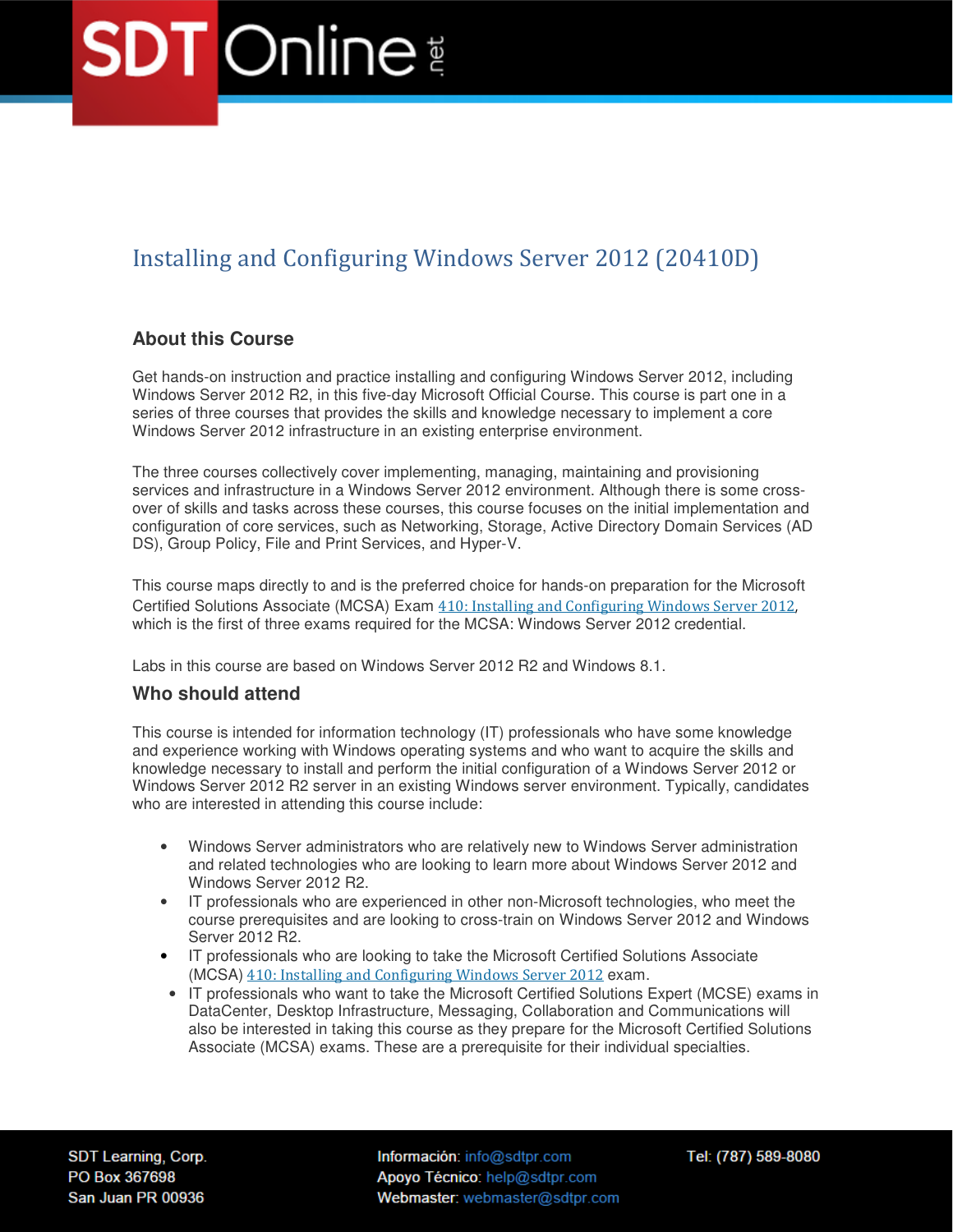### Installing and Configuring Windows Server 2012 (20410D)

### **About this Course**

Get hands-on instruction and practice installing and configuring Windows Server 2012, including Windows Server 2012 R2, in this five-day Microsoft Official Course. This course is part one in a series of three courses that provides the skills and knowledge necessary to implement a core Windows Server 2012 infrastructure in an existing enterprise environment.

The three courses collectively cover implementing, managing, maintaining and provisioning services and infrastructure in a Windows Server 2012 environment. Although there is some crossover of skills and tasks across these courses, this course focuses on the initial implementation and configuration of core services, such as Networking, Storage, Active Directory Domain Services (AD DS), Group Policy, File and Print Services, and Hyper-V.

This course maps directly to and is the preferred choice for hands-on preparation for the Microsoft Certified Solutions Associate (MCSA) Exam 410: Installing and Configuring Windows Server 2012, which is the first of three exams required for the MCSA: Windows Server 2012 credential.

Labs in this course are based on Windows Server 2012 R2 and Windows 8.1.

### **Who should attend**

This course is intended for information technology (IT) professionals who have some knowledge and experience working with Windows operating systems and who want to acquire the skills and knowledge necessary to install and perform the initial configuration of a Windows Server 2012 or Windows Server 2012 R2 server in an existing Windows server environment. Typically, candidates who are interested in attending this course include:

- Windows Server administrators who are relatively new to Windows Server administration and related technologies who are looking to learn more about Windows Server 2012 and Windows Server 2012 R2.
- IT professionals who are experienced in other non-Microsoft technologies, who meet the course prerequisites and are looking to cross-train on Windows Server 2012 and Windows Server 2012 R2.
- IT professionals who are looking to take the Microsoft Certified Solutions Associate (MCSA) 410: Installing and Configuring Windows Server 2012 exam.
- IT professionals who want to take the Microsoft Certified Solutions Expert (MCSE) exams in DataCenter, Desktop Infrastructure, Messaging, Collaboration and Communications will also be interested in taking this course as they prepare for the Microsoft Certified Solutions Associate (MCSA) exams. These are a prerequisite for their individual specialties.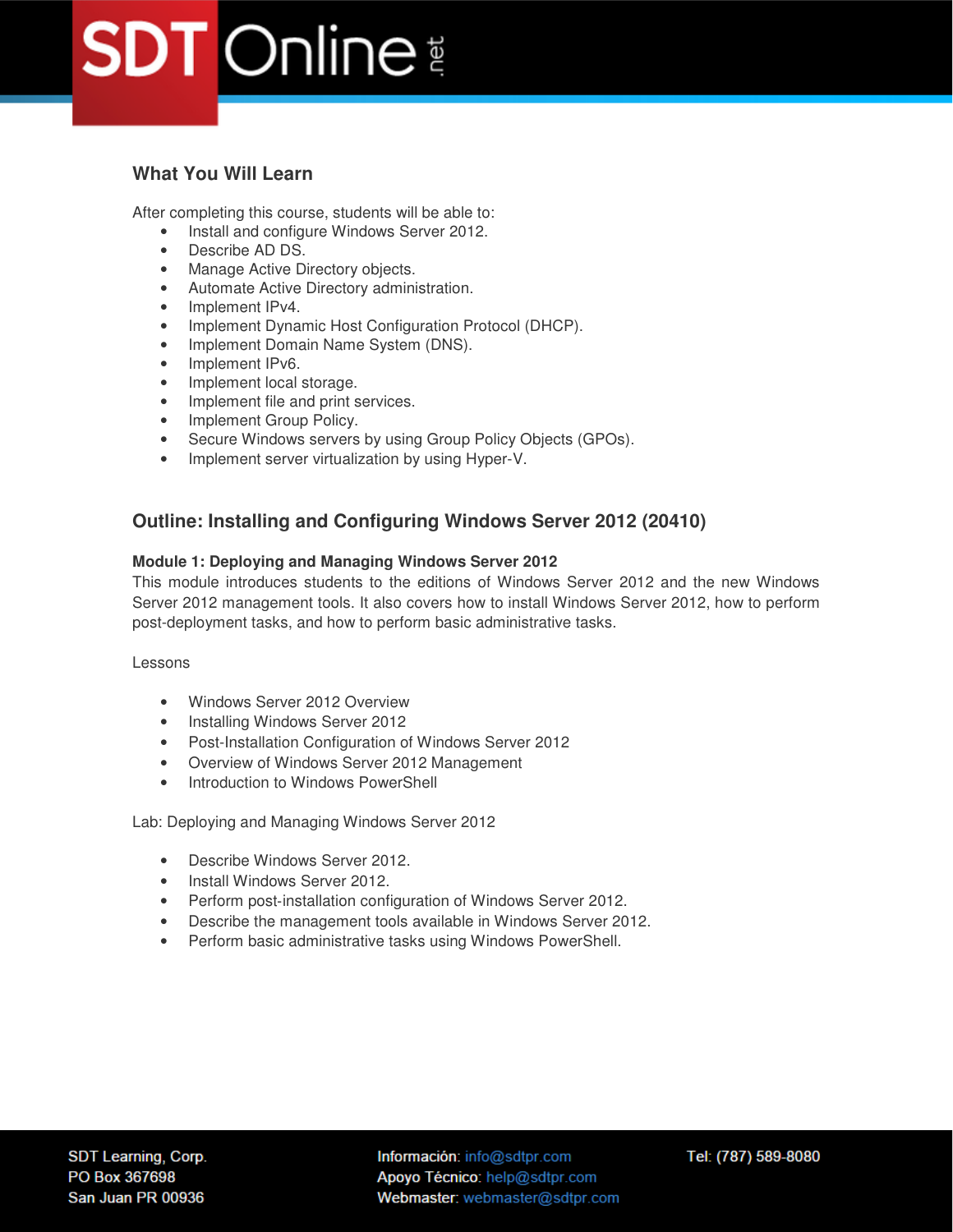### **What You Will Learn**

After completing this course, students will be able to:

- Install and configure Windows Server 2012.
- Describe AD DS.
- Manage Active Directory objects.
- Automate Active Directory administration.
- Implement IPv4.
- Implement Dynamic Host Configuration Protocol (DHCP).
- Implement Domain Name System (DNS).
- Implement IPv6.
- Implement local storage.
- Implement file and print services.
- Implement Group Policy.
- Secure Windows servers by using Group Policy Objects (GPOs).
- Implement server virtualization by using Hyper-V.

### **Outline: Installing and Configuring Windows Server 2012 (20410)**

### **Module 1: Deploying and Managing Windows Server 2012**

This module introduces students to the editions of Windows Server 2012 and the new Windows Server 2012 management tools. It also covers how to install Windows Server 2012, how to perform post-deployment tasks, and how to perform basic administrative tasks.

Lessons

- Windows Server 2012 Overview
- Installing Windows Server 2012
- Post-Installation Configuration of Windows Server 2012
- Overview of Windows Server 2012 Management
- Introduction to Windows PowerShell

Lab: Deploying and Managing Windows Server 2012

- Describe Windows Server 2012
- Install Windows Server 2012.
- Perform post-installation configuration of Windows Server 2012.
- Describe the management tools available in Windows Server 2012.
- Perform basic administrative tasks using Windows PowerShell.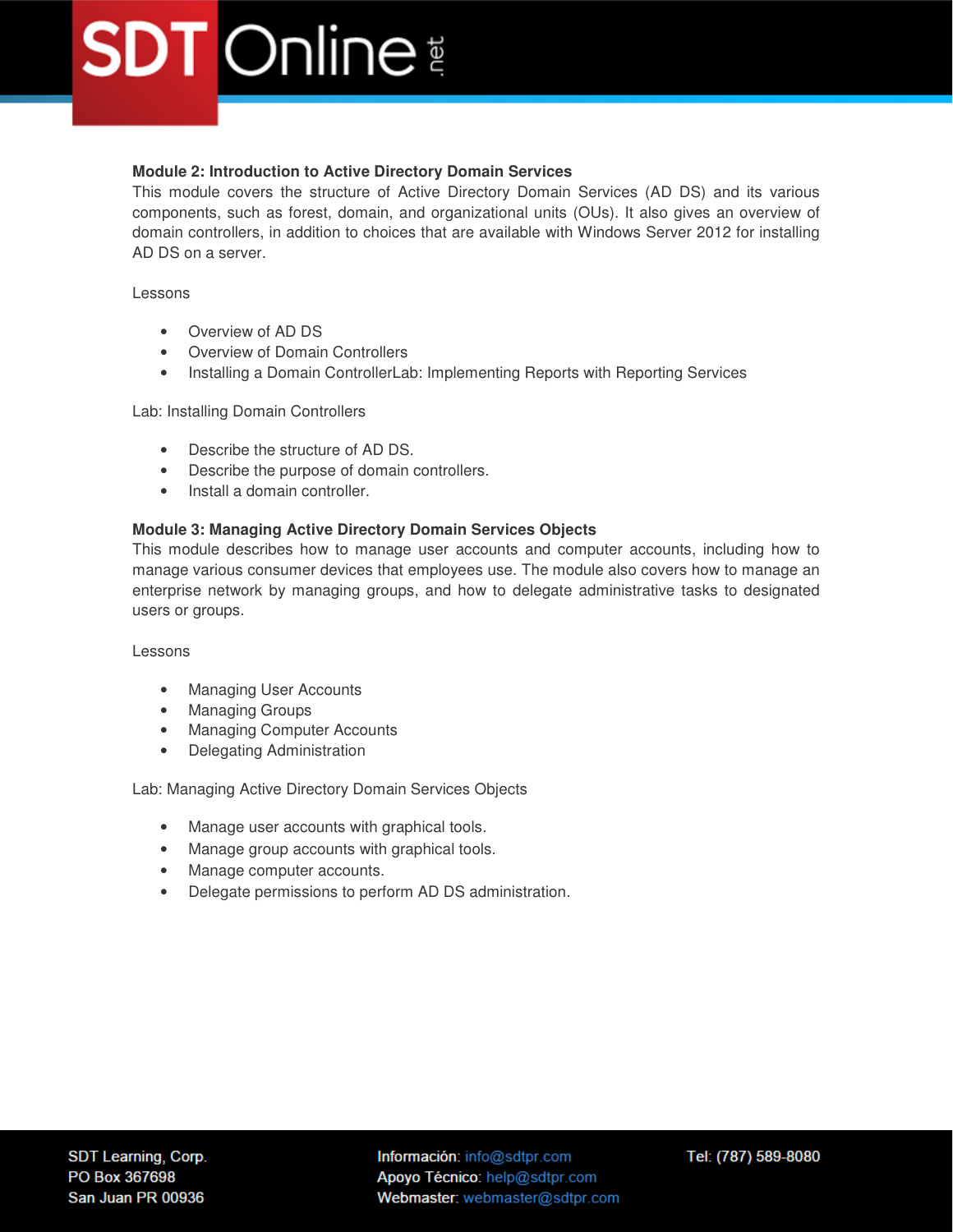### **Module 2: Introduction to Active Directory Domain Services**

This module covers the structure of Active Directory Domain Services (AD DS) and its various components, such as forest, domain, and organizational units (OUs). It also gives an overview of domain controllers, in addition to choices that are available with Windows Server 2012 for installing AD DS on a server.

Lessons

- Overview of AD DS
- Overview of Domain Controllers
- Installing a Domain ControllerLab: Implementing Reports with Reporting Services

Lab: Installing Domain Controllers

- Describe the structure of AD DS.
- Describe the purpose of domain controllers.
- Install a domain controller.

### **Module 3: Managing Active Directory Domain Services Objects**

This module describes how to manage user accounts and computer accounts, including how to manage various consumer devices that employees use. The module also covers how to manage an enterprise network by managing groups, and how to delegate administrative tasks to designated users or groups.

Lessons

- Managing User Accounts
- Managing Groups
- Managing Computer Accounts
- Delegating Administration

Lab: Managing Active Directory Domain Services Objects

- Manage user accounts with graphical tools.
- Manage group accounts with graphical tools.
- Manage computer accounts.
- Delegate permissions to perform AD DS administration.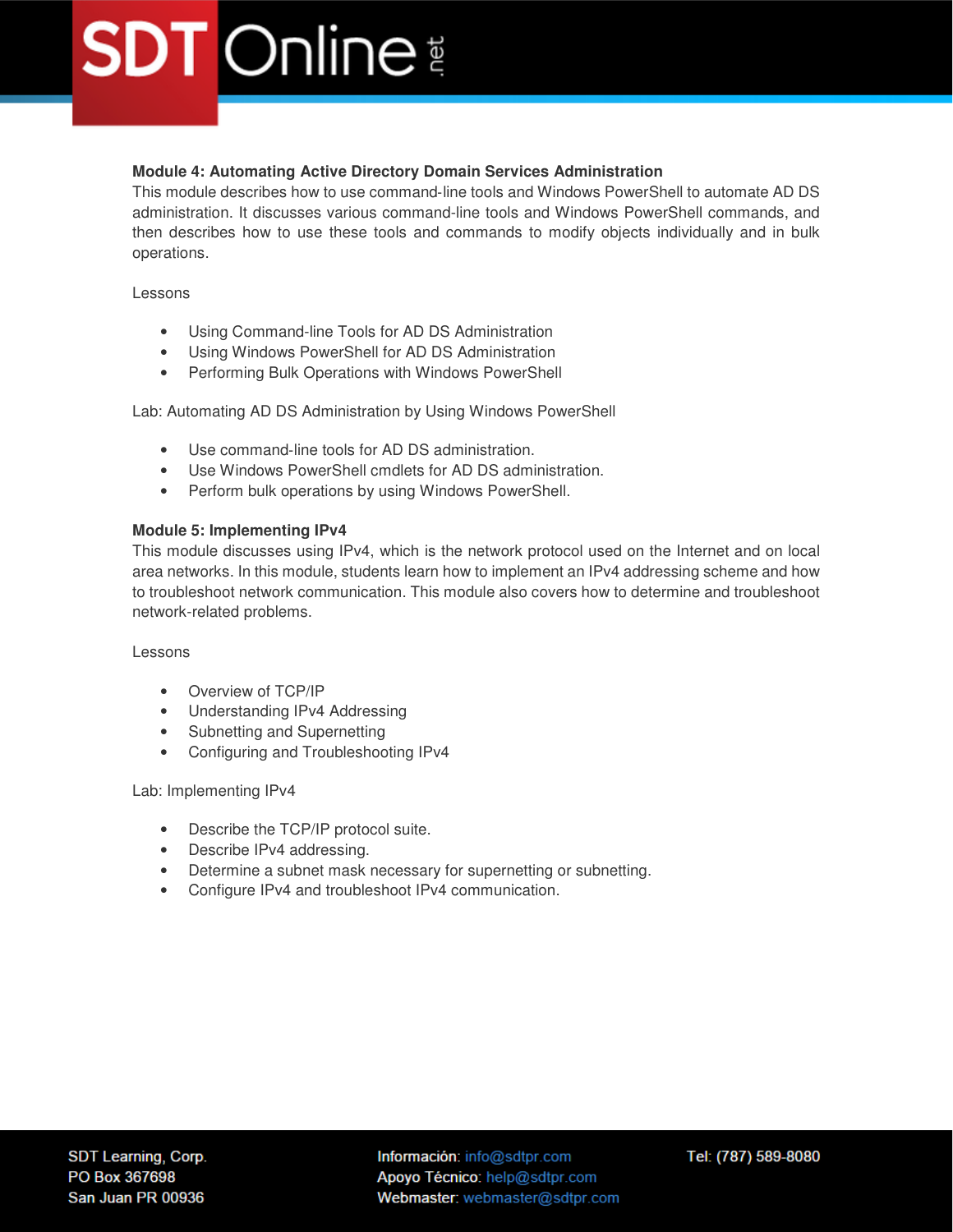### **Module 4: Automating Active Directory Domain Services Administration**

This module describes how to use command‑line tools and Windows PowerShell to automate AD DS administration. It discusses various command-line tools and Windows PowerShell commands, and then describes how to use these tools and commands to modify objects individually and in bulk operations.

Lessons

- Using Command-line Tools for AD DS Administration
- Using Windows PowerShell for AD DS Administration
- Performing Bulk Operations with Windows PowerShell

Lab: Automating AD DS Administration by Using Windows PowerShell

- Use command-line tools for AD DS administration.
- Use Windows PowerShell cmdlets for AD DS administration.
- Perform bulk operations by using Windows PowerShell.

### **Module 5: Implementing IPv4**

This module discusses using IPv4, which is the network protocol used on the Internet and on local area networks. In this module, students learn how to implement an IPv4 addressing scheme and how to troubleshoot network communication. This module also covers how to determine and troubleshoot network-related problems.

Lessons

- Overview of TCP/IP
- Understanding IPv4 Addressing
- Subnetting and Supernetting
- Configuring and Troubleshooting IPv4

Lab: Implementing IPv4

- Describe the TCP/IP protocol suite.
- Describe IPv4 addressing.
- Determine a subnet mask necessary for supernetting or subnetting.
- Configure IPv4 and troubleshoot IPv4 communication.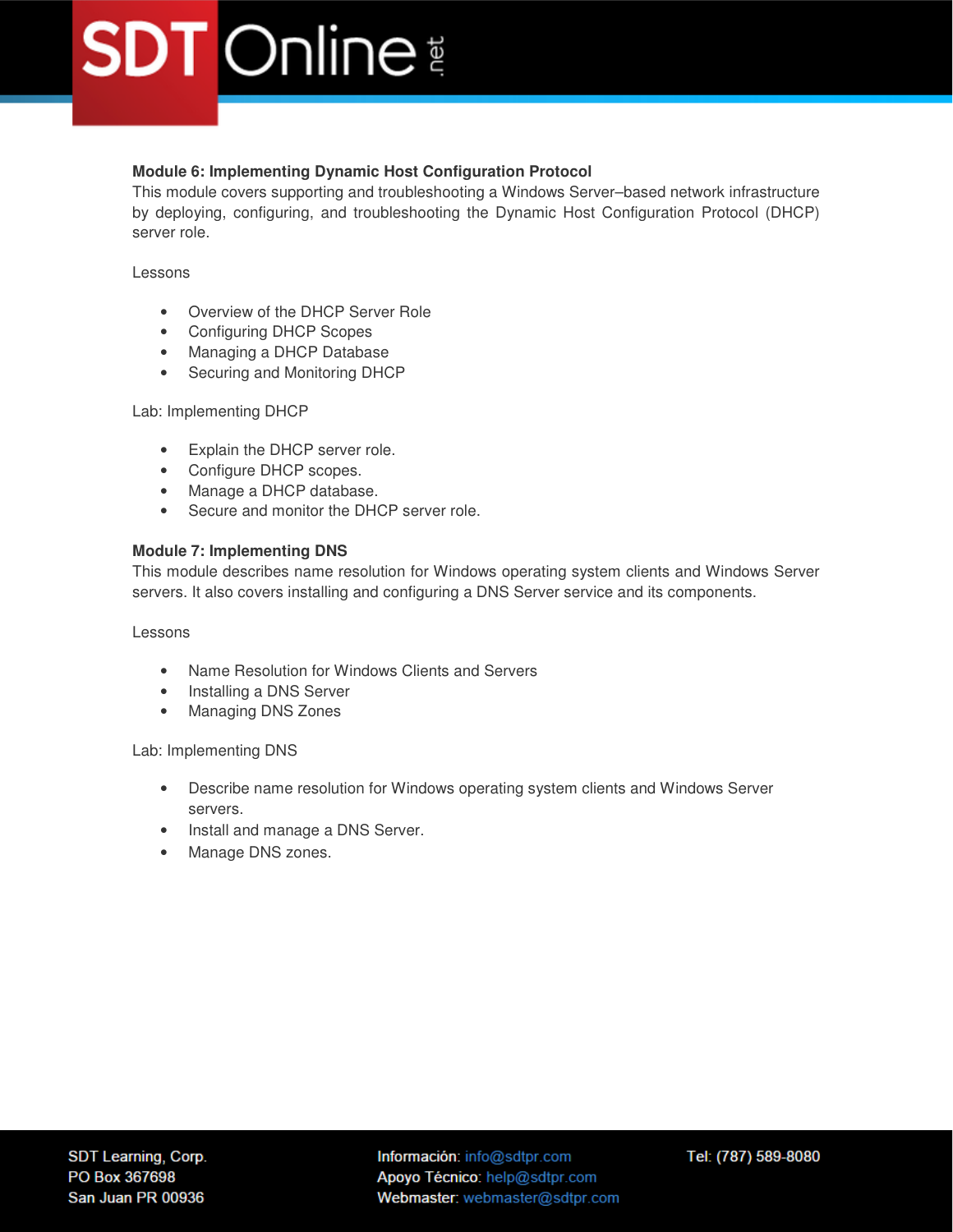### **Module 6: Implementing Dynamic Host Configuration Protocol**

This module covers supporting and troubleshooting a Windows Server–based network infrastructure by deploying, configuring, and troubleshooting the Dynamic Host Configuration Protocol (DHCP) server role.

### Lessons

- Overview of the DHCP Server Role
- Configuring DHCP Scopes
- Managing a DHCP Database
- Securing and Monitoring DHCP

### Lab: Implementing DHCP

- Explain the DHCP server role.
- Configure DHCP scopes.
- Manage a DHCP database.
- Secure and monitor the DHCP server role.

### **Module 7: Implementing DNS**

This module describes name resolution for Windows operating system clients and Windows Server servers. It also covers installing and configuring a DNS Server service and its components.

### Lessons

- Name Resolution for Windows Clients and Servers
- Installing a DNS Server
- Managing DNS Zones

Lab: Implementing DNS

- Describe name resolution for Windows operating system clients and Windows Server servers.
- Install and manage a DNS Server.
- Manage DNS zones.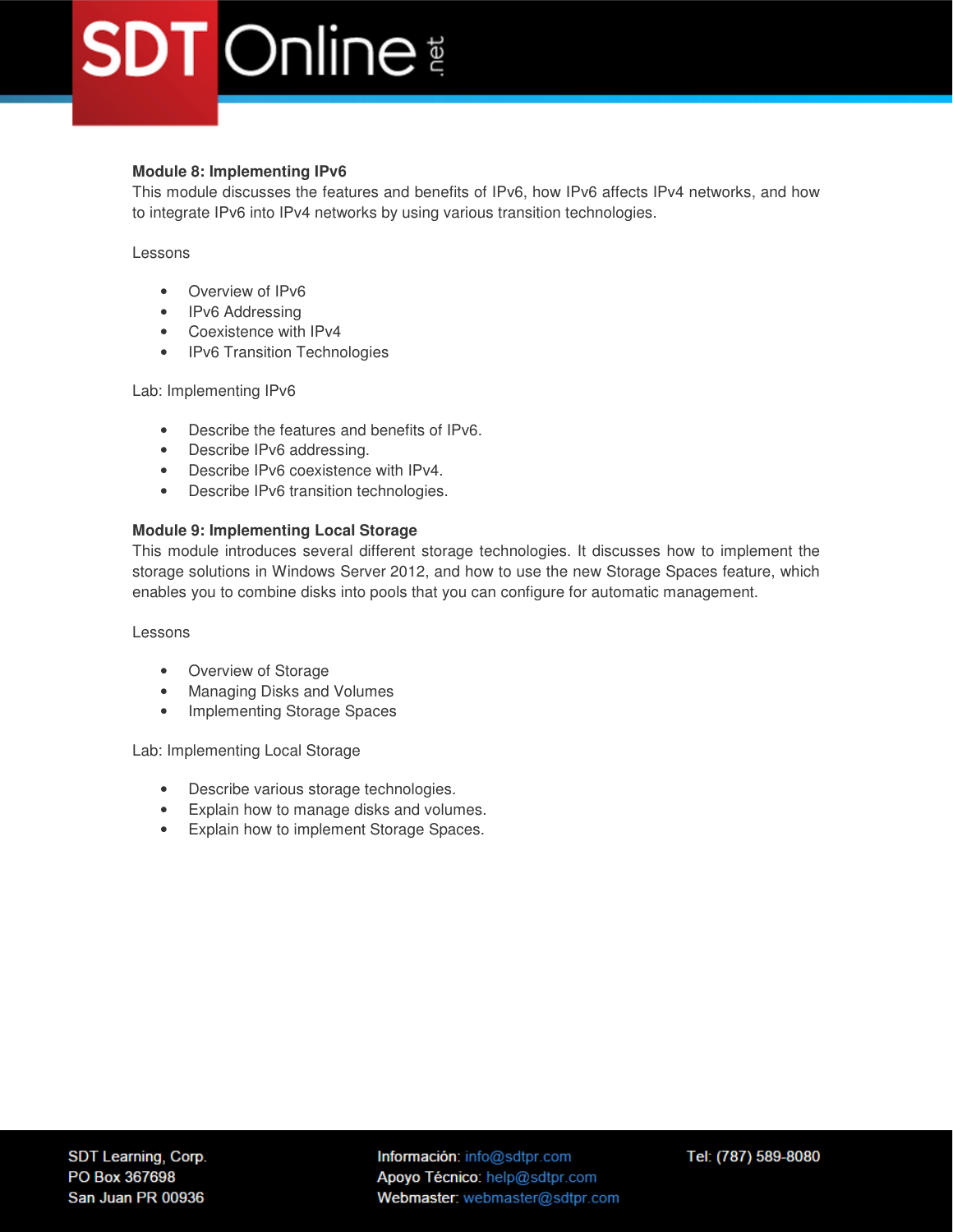### **Module 8: Implementing IPv6**

This module discusses the features and benefits of IPv6, how IPv6 affects IPv4 networks, and how to integrate IPv6 into IPv4 networks by using various transition technologies.

Lessons

- Overview of IPv6
- IPv6 Addressing
- Coexistence with IPv4
- IPv6 Transition Technologies

Lab: Implementing IPv6

- Describe the features and benefits of IPv6.
- Describe IPv6 addressing.
- Describe IPv6 coexistence with IPv4.
- Describe IPv6 transition technologies.

### **Module 9: Implementing Local Storage**

This module introduces several different storage technologies. It discusses how to implement the storage solutions in Windows Server 2012, and how to use the new Storage Spaces feature, which enables you to combine disks into pools that you can configure for automatic management.

Lessons

- Overview of Storage
- Managing Disks and Volumes
- Implementing Storage Spaces

Lab: Implementing Local Storage

- Describe various storage technologies.
- Explain how to manage disks and volumes.
- Explain how to implement Storage Spaces.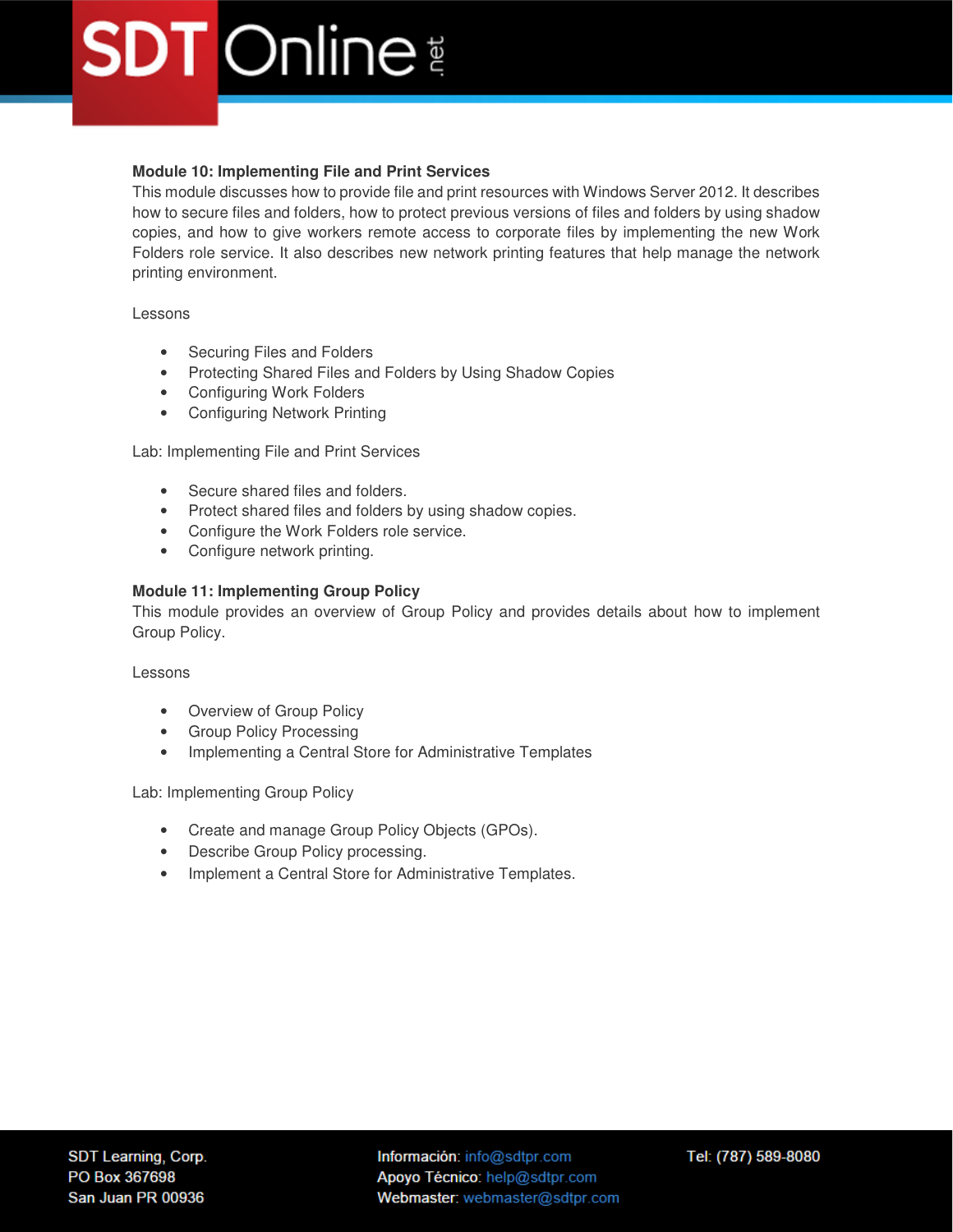### **Module 10: Implementing File and Print Services**

This module discusses how to provide file and print resources with Windows Server 2012. It describes how to secure files and folders, how to protect previous versions of files and folders by using shadow copies, and how to give workers remote access to corporate files by implementing the new Work Folders role service. It also describes new network printing features that help manage the network printing environment.

Lessons

- Securing Files and Folders
- Protecting Shared Files and Folders by Using Shadow Copies
- Configuring Work Folders
- Configuring Network Printing

Lab: Implementing File and Print Services

- Secure shared files and folders.
- Protect shared files and folders by using shadow copies.
- Configure the Work Folders role service.
- Configure network printing.

### **Module 11: Implementing Group Policy**

This module provides an overview of Group Policy and provides details about how to implement Group Policy.

Lessons

- Overview of Group Policy
- Group Policy Processing
- Implementing a Central Store for Administrative Templates

Lab: Implementing Group Policy

- Create and manage Group Policy Objects (GPOs).
- Describe Group Policy processing.
- Implement a Central Store for Administrative Templates.